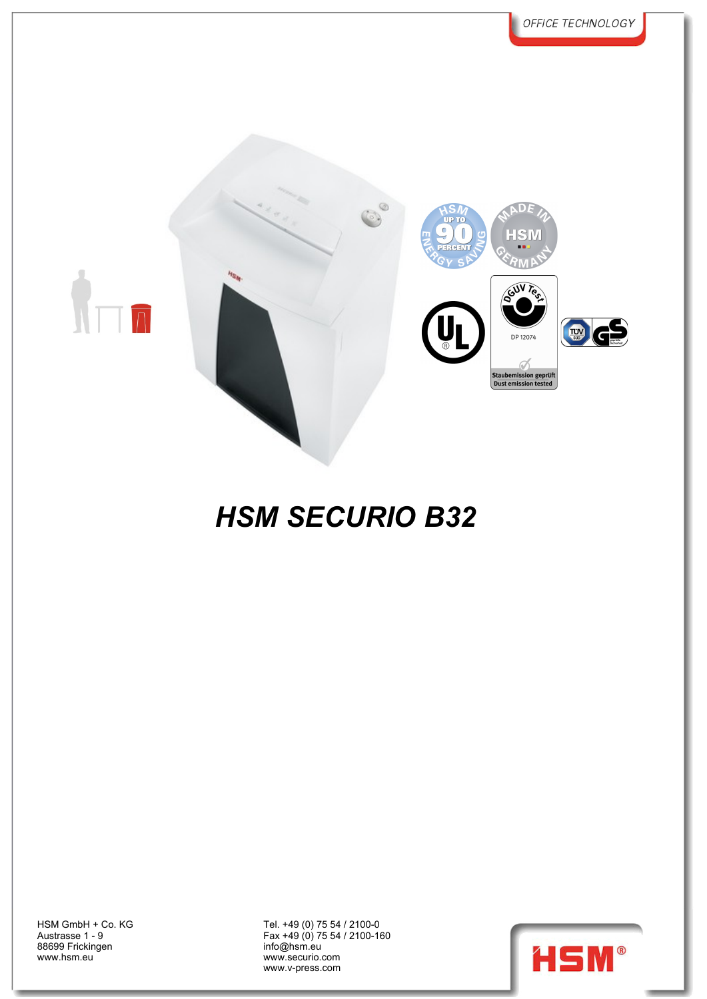

Austrasse 1 - 9 88699 Frickingen www.hsm.eu

HSM GmbH + Co. KG Tel. +49 (0) 75 54 / 2100-0 Fax +49 (0) 75 54 / 2100-160 info@hsm.eu www.securio.com **www.securio.com** www.v-press.com

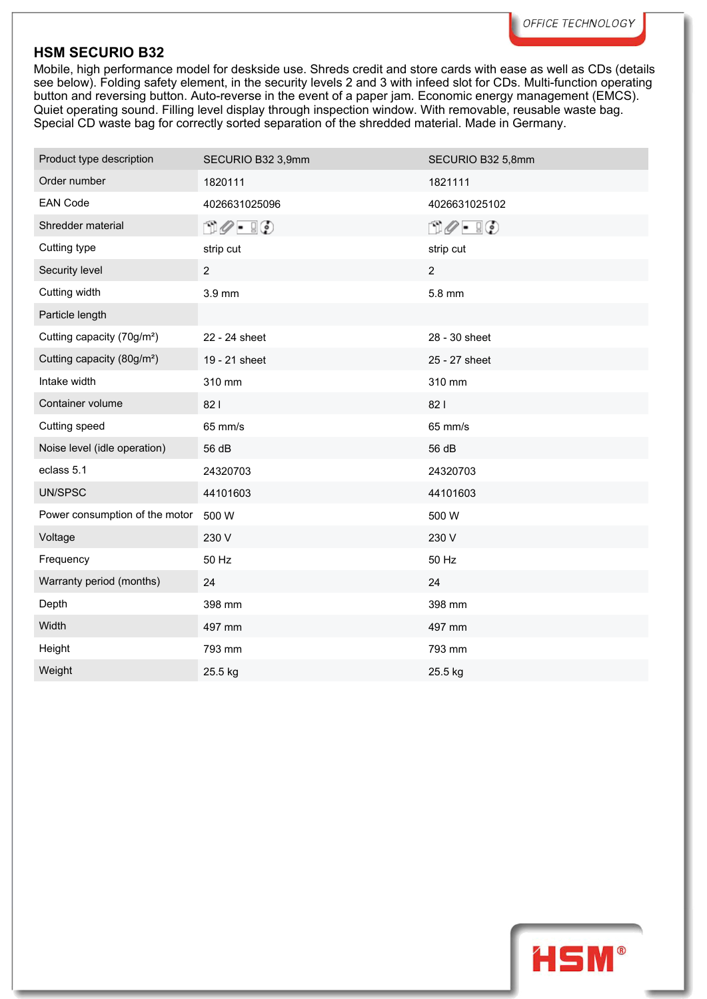Mobile, high performance model for deskside use. Shreds credit and store cards with ease as well as CDs (details see below). Folding safety element, in the security levels 2 and 3 with infeed slot for CDs. Multi-function operating button and reversing button. Auto-reverse in the event of a paper jam. Economic energy management (EMCS). Quiet operating sound. Filling level display through inspection window. With removable, reusable waste bag. Special CD waste bag for correctly sorted separation of the shredded material. Made in Germany.

| Product type description               | SECURIO B32 3,9mm             | SECURIO B32 5,8mm             |
|----------------------------------------|-------------------------------|-------------------------------|
| Order number                           | 1820111                       | 1821111                       |
| <b>EAN Code</b>                        | 4026631025096                 | 4026631025102                 |
| Shredder material                      | $\Box \oslash - \Box \oslash$ | $\Box \oslash - \Box \oslash$ |
| Cutting type                           | strip cut                     | strip cut                     |
| Security level                         | $\overline{2}$                | $\overline{2}$                |
| Cutting width                          | 3.9 mm                        | 5.8 mm                        |
| Particle length                        |                               |                               |
| Cutting capacity (70g/m <sup>2</sup> ) | 22 - 24 sheet                 | 28 - 30 sheet                 |
| Cutting capacity (80g/m <sup>2</sup> ) | 19 - 21 sheet                 | 25 - 27 sheet                 |
| Intake width                           | 310 mm                        | 310 mm                        |
| Container volume                       | 821                           | 821                           |
| Cutting speed                          | 65 mm/s                       | 65 mm/s                       |
| Noise level (idle operation)           | 56 dB                         | 56 dB                         |
| eclass 5.1                             | 24320703                      | 24320703                      |
| UN/SPSC                                | 44101603                      | 44101603                      |
| Power consumption of the motor         | 500 W                         | 500 W                         |
| Voltage                                | 230 V                         | 230 V                         |
| Frequency                              | 50 Hz                         | 50 Hz                         |
| Warranty period (months)               | 24                            | 24                            |
| Depth                                  | 398 mm                        | 398 mm                        |
| Width                                  | 497 mm                        | 497 mm                        |
| Height                                 | 793 mm                        | 793 mm                        |
| Weight                                 | 25.5 kg                       | 25.5 kg                       |

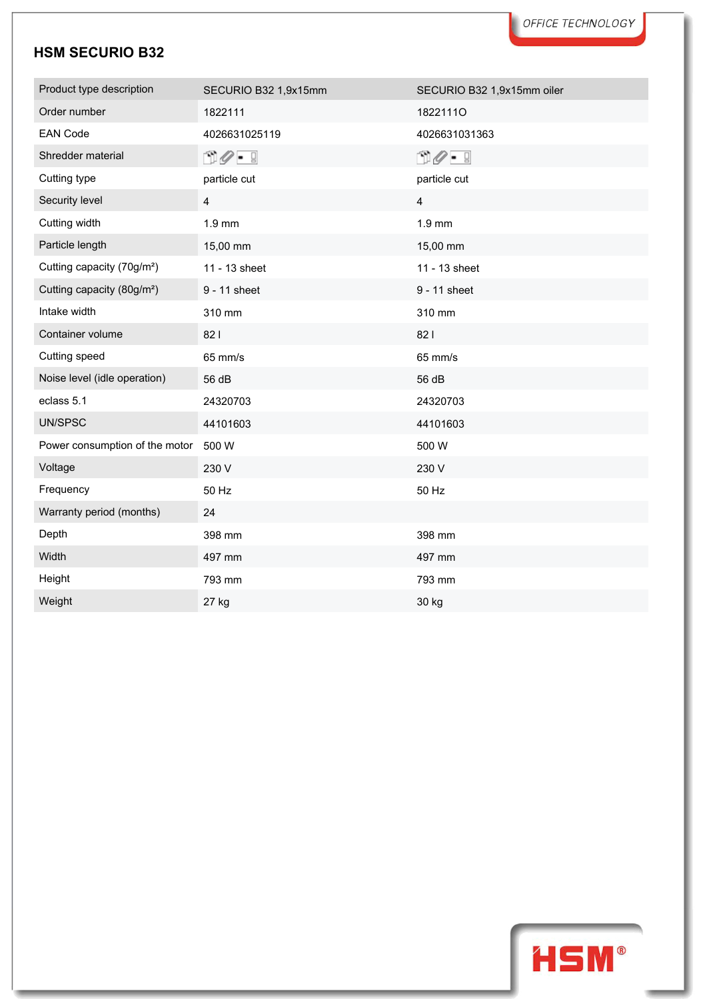| Product type description               | SECURIO B32 1,9x15mm      | SECURIO B32 1,9x15mm oiler |
|----------------------------------------|---------------------------|----------------------------|
| Order number                           | 1822111                   | 18221110                   |
| <b>EAN Code</b>                        | 4026631025119             | 4026631031363              |
| Shredder material                      | $\cap$ $\oslash$ - $\Box$ | $\Box\oslash$ - $\Box$     |
| Cutting type                           | particle cut              | particle cut               |
| Security level                         | 4                         | $\overline{4}$             |
| Cutting width                          | 1.9 mm                    | $1.9 \text{ mm}$           |
| Particle length                        | 15,00 mm                  | 15,00 mm                   |
| Cutting capacity (70g/m <sup>2</sup> ) | 11 - 13 sheet             | 11 - 13 sheet              |
| Cutting capacity (80g/m <sup>2</sup> ) | 9 - 11 sheet              | 9 - 11 sheet               |
| Intake width                           | 310 mm                    | 310 mm                     |
| Container volume                       | 821                       | 821                        |
| Cutting speed                          | 65 mm/s                   | 65 mm/s                    |
| Noise level (idle operation)           | 56 dB                     | 56 dB                      |
| eclass 5.1                             | 24320703                  | 24320703                   |
| UN/SPSC                                | 44101603                  | 44101603                   |
| Power consumption of the motor         | 500 W                     | 500 W                      |
| Voltage                                | 230 V                     | 230 V                      |
| Frequency                              | 50 Hz                     | 50 Hz                      |
| Warranty period (months)               | 24                        |                            |
| Depth                                  | 398 mm                    | 398 mm                     |
| Width                                  | 497 mm                    | 497 mm                     |
| Height                                 | 793 mm                    | 793 mm                     |
| Weight                                 | 27 kg                     | 30 kg                      |

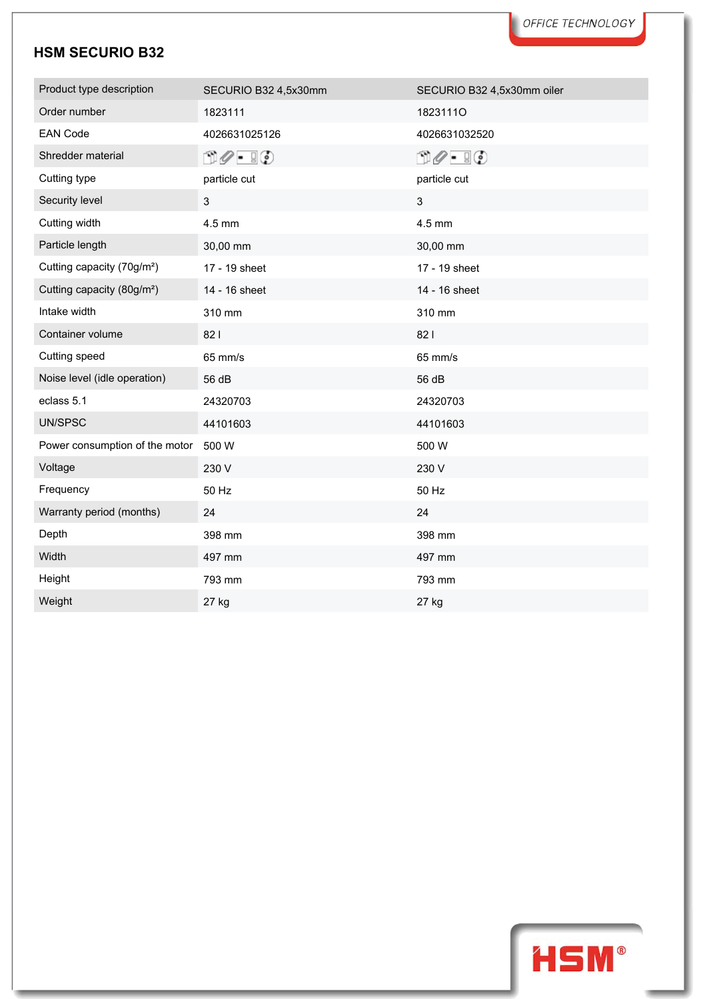| Product type description               | SECURIO B32 4,5x30mm          | SECURIO B32 4,5x30mm oiler    |
|----------------------------------------|-------------------------------|-------------------------------|
| Order number                           | 1823111                       | 18231110                      |
| <b>EAN Code</b>                        | 4026631025126                 | 4026631032520                 |
| Shredder material                      | $\Box \oslash - \Box \oslash$ | $\Box \oslash - \Box \oslash$ |
| Cutting type                           | particle cut                  | particle cut                  |
| Security level                         | 3                             | 3                             |
| Cutting width                          | 4.5 mm                        | 4.5 mm                        |
| Particle length                        | 30,00 mm                      | 30,00 mm                      |
| Cutting capacity (70g/m <sup>2</sup> ) | 17 - 19 sheet                 | 17 - 19 sheet                 |
| Cutting capacity (80g/m <sup>2</sup> ) | 14 - 16 sheet                 | 14 - 16 sheet                 |
| Intake width                           | 310 mm                        | 310 mm                        |
| Container volume                       | 821                           | 821                           |
| Cutting speed                          | 65 mm/s                       | 65 mm/s                       |
| Noise level (idle operation)           | 56 dB                         | 56 dB                         |
| eclass 5.1                             | 24320703                      | 24320703                      |
| UN/SPSC                                | 44101603                      | 44101603                      |
| Power consumption of the motor         | 500 W                         | 500 W                         |
| Voltage                                | 230 V                         | 230 V                         |
| Frequency                              | 50 Hz                         | 50 Hz                         |
| Warranty period (months)               | 24                            | 24                            |
| Depth                                  | 398 mm                        | 398 mm                        |
| Width                                  | 497 mm                        | 497 mm                        |
| Height                                 | 793 mm                        | 793 mm                        |
| Weight                                 | 27 kg                         | 27 kg                         |

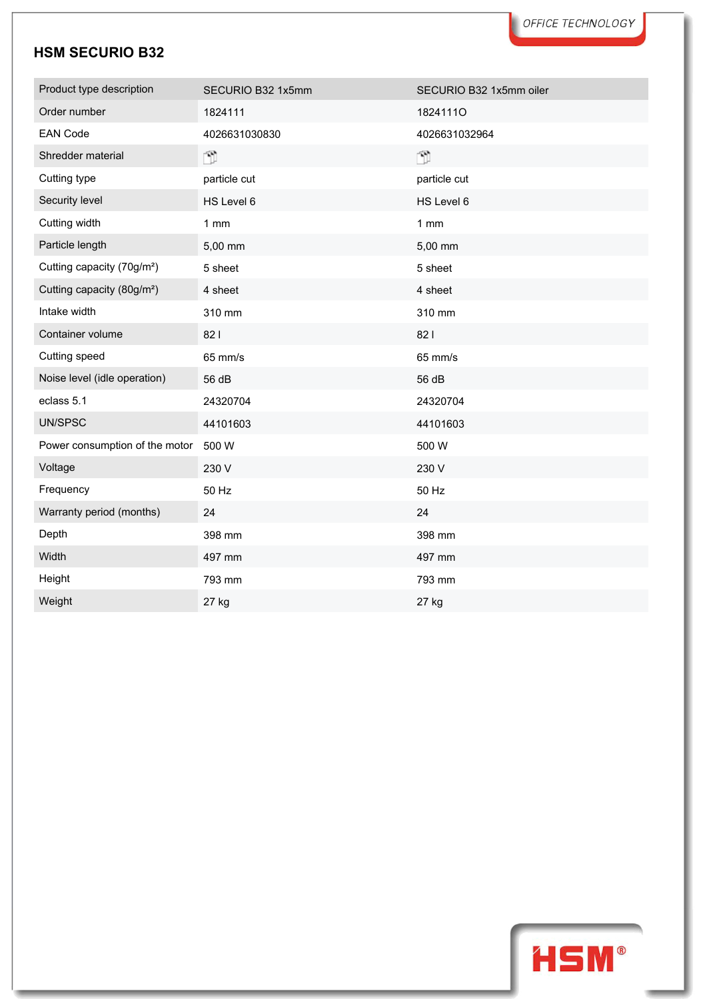| Product type description               | SECURIO B32 1x5mm | SECURIO B32 1x5mm oiler |
|----------------------------------------|-------------------|-------------------------|
| Order number                           | 1824111           | 18241110                |
| <b>EAN Code</b>                        | 4026631030830     | 4026631032964           |
| Shredder material                      | ŤÌ                | ŤÌ                      |
| Cutting type                           | particle cut      | particle cut            |
| Security level                         | HS Level 6        | HS Level 6              |
| Cutting width                          | $1$ mm            | 1 mm                    |
| Particle length                        | 5,00 mm           | 5,00 mm                 |
| Cutting capacity (70g/m <sup>2</sup> ) | 5 sheet           | 5 sheet                 |
| Cutting capacity (80g/m <sup>2</sup> ) | 4 sheet           | 4 sheet                 |
| Intake width                           | 310 mm            | 310 mm                  |
| Container volume                       | 821               | 821                     |
| Cutting speed                          | 65 mm/s           | 65 mm/s                 |
| Noise level (idle operation)           | 56 dB             | 56 dB                   |
| eclass 5.1                             | 24320704          | 24320704                |
| UN/SPSC                                | 44101603          | 44101603                |
| Power consumption of the motor         | 500 W             | 500 W                   |
| Voltage                                | 230 V             | 230 V                   |
| Frequency                              | 50 Hz             | 50 Hz                   |
| Warranty period (months)               | 24                | 24                      |
| Depth                                  | 398 mm            | 398 mm                  |
| Width                                  | 497 mm            | 497 mm                  |
| Height                                 | 793 mm            | 793 mm                  |
| Weight                                 | 27 kg             | 27 kg                   |